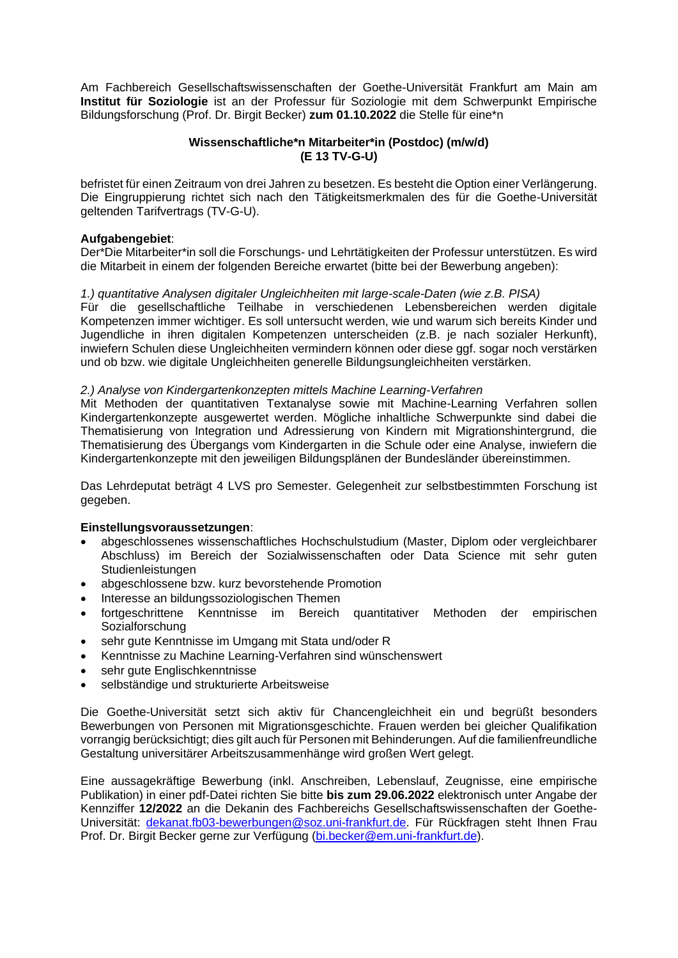Am Fachbereich Gesellschaftswissenschaften der Goethe-Universität Frankfurt am Main am **Institut für Soziologie** ist an der Professur für Soziologie mit dem Schwerpunkt Empirische Bildungsforschung (Prof. Dr. Birgit Becker) **zum 01.10.2022** die Stelle für eine\*n

# **Wissenschaftliche\*n Mitarbeiter\*in (Postdoc) (m/w/d) (E 13 TV-G-U)**

befristet für einen Zeitraum von drei Jahren zu besetzen. Es besteht die Option einer Verlängerung. Die Eingruppierung richtet sich nach den Tätigkeitsmerkmalen des für die Goethe-Universität geltenden Tarifvertrags (TV-G-U).

# **Aufgabengebiet**:

Der\*Die Mitarbeiter\*in soll die Forschungs- und Lehrtätigkeiten der Professur unterstützen. Es wird die Mitarbeit in einem der folgenden Bereiche erwartet (bitte bei der Bewerbung angeben):

# *1.) quantitative Analysen digitaler Ungleichheiten mit large-scale-Daten (wie z.B. PISA)*

Für die gesellschaftliche Teilhabe in verschiedenen Lebensbereichen werden digitale Kompetenzen immer wichtiger. Es soll untersucht werden, wie und warum sich bereits Kinder und Jugendliche in ihren digitalen Kompetenzen unterscheiden (z.B. je nach sozialer Herkunft), inwiefern Schulen diese Ungleichheiten vermindern können oder diese ggf. sogar noch verstärken und ob bzw. wie digitale Ungleichheiten generelle Bildungsungleichheiten verstärken.

## *2.) Analyse von Kindergartenkonzepten mittels Machine Learning-Verfahren*

Mit Methoden der quantitativen Textanalyse sowie mit Machine-Learning Verfahren sollen Kindergartenkonzepte ausgewertet werden. Mögliche inhaltliche Schwerpunkte sind dabei die Thematisierung von Integration und Adressierung von Kindern mit Migrationshintergrund, die Thematisierung des Übergangs vom Kindergarten in die Schule oder eine Analyse, inwiefern die Kindergartenkonzepte mit den jeweiligen Bildungsplänen der Bundesländer übereinstimmen.

Das Lehrdeputat beträgt 4 LVS pro Semester. Gelegenheit zur selbstbestimmten Forschung ist gegeben.

## **Einstellungsvoraussetzungen**:

- abgeschlossenes wissenschaftliches Hochschulstudium (Master, Diplom oder vergleichbarer Abschluss) im Bereich der Sozialwissenschaften oder Data Science mit sehr guten **Studienleistungen**
- abgeschlossene bzw. kurz bevorstehende Promotion
- Interesse an bildungssoziologischen Themen
- fortgeschrittene Kenntnisse im Bereich quantitativer Methoden der empirischen Sozialforschung
- sehr gute Kenntnisse im Umgang mit Stata und/oder R
- Kenntnisse zu Machine Learning-Verfahren sind wünschenswert
- sehr gute Englischkenntnisse
- selbständige und strukturierte Arbeitsweise

Die Goethe-Universität setzt sich aktiv für Chancengleichheit ein und begrüßt besonders Bewerbungen von Personen mit Migrationsgeschichte. Frauen werden bei gleicher Qualifikation vorrangig berücksichtigt; dies gilt auch für Personen mit Behinderungen. Auf die familienfreundliche Gestaltung universitärer Arbeitszusammenhänge wird großen Wert gelegt.

Eine aussagekräftige Bewerbung (inkl. Anschreiben, Lebenslauf, Zeugnisse, eine empirische Publikation) in einer pdf-Datei richten Sie bitte **bis zum 29.06.2022** elektronisch unter Angabe der Kennziffer **12/2022** an die Dekanin des Fachbereichs Gesellschaftswissenschaften der GoetheUniversität: [dekanat.fb03-bewerbungen@soz.uni-frankfurt.de.](mailto:dekanat.fb03-bewerbungen@soz.uni-frankfurt.de) Für Rückfragen steht Ihnen Frau Prof. Dr. Birgit Becker gerne zur Verfügung [\(bi.becker@em.uni-frankfurt.de\)](mailto:bi.becker@em.uni-frankfurt.de).